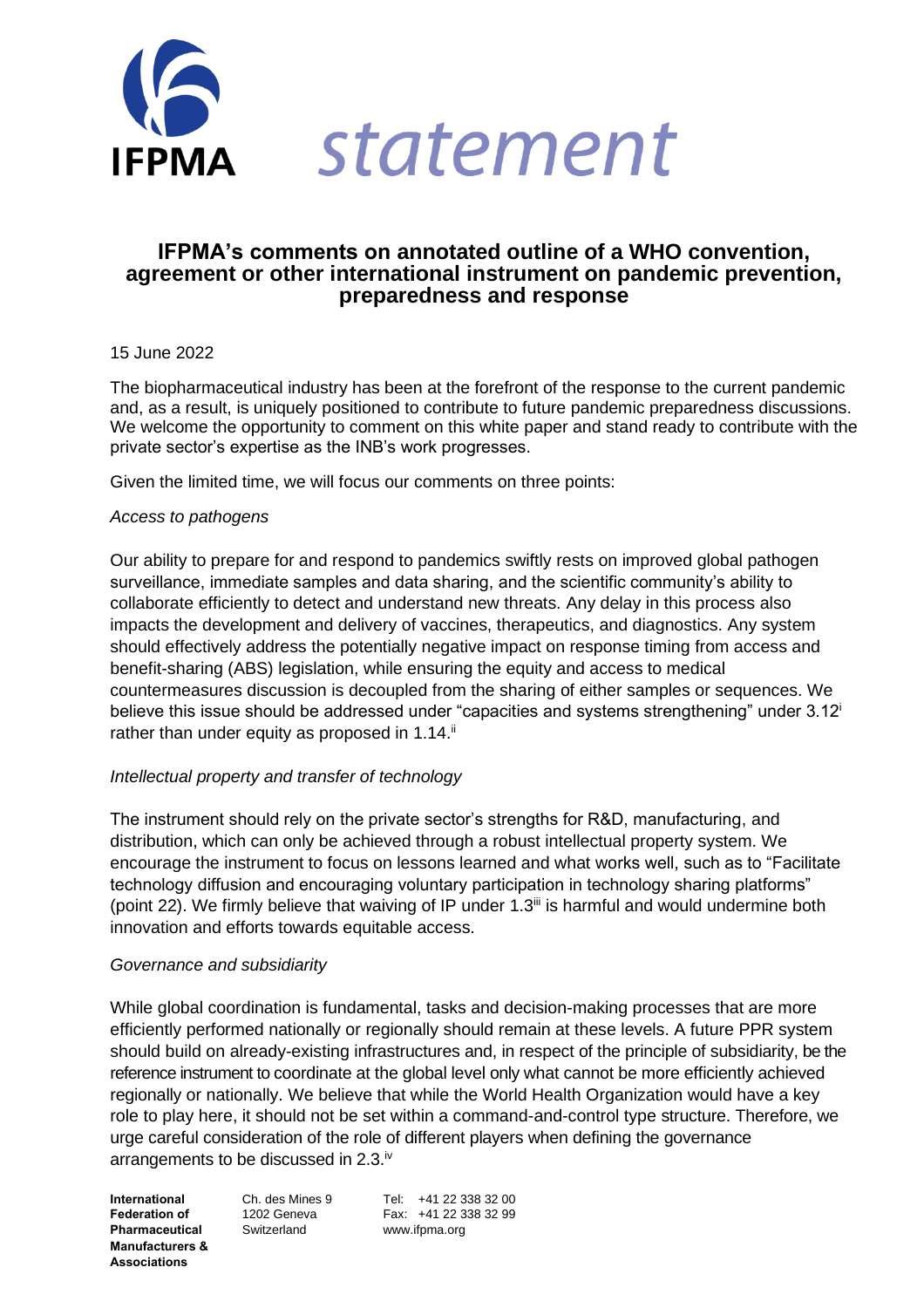

# **IFPMA's comments on annotated outline of a WHO convention, agreement or other international instrument on pandemic prevention, preparedness and response**

### 15 June 2022

The biopharmaceutical industry has been at the forefront of the response to the current pandemic and, as a result, is uniquely positioned to contribute to future pandemic preparedness discussions. We welcome the opportunity to comment on this white paper and stand ready to contribute with the private sector's expertise as the INB's work progresses.

Given the limited time, we will focus our comments on three points:

## *Access to pathogens*

Our ability to prepare for and respond to pandemics swiftly rests on improved global pathogen surveillance, immediate samples and data sharing, and the scientific community's ability to collaborate efficiently to detect and understand new threats. Any delay in this process also impacts the development and delivery of vaccines, therapeutics, and diagnostics. Any system should effectively address the potentially negative impact on response timing from access and benefit-sharing (ABS) legislation, while ensuring the equity and access to medical countermeasures discussion is decoupled from the sharing of either samples or sequences. We believe this issue should be addressed under "capacities and systems strengthening" under  $3.12<sup>i</sup>$ rather than under equity as proposed in 1.14.<sup>ii</sup>

## *Intellectual property and transfer of technology*

The instrument should rely on the private sector's strengths for R&D, manufacturing, and distribution, which can only be achieved through a robust intellectual property system. We encourage the instrument to focus on lessons learned and what works well, such as to "Facilitate technology diffusion and encouraging voluntary participation in technology sharing platforms" (point 22). We firmly believe that waiving of IP under  $1.3^{\text{iii}}$  is harmful and would undermine both innovation and efforts towards equitable access.

## *Governance and subsidiarity*

While global coordination is fundamental, tasks and decision-making processes that are more efficiently performed nationally or regionally should remain at these levels. A future PPR system should build on already-existing infrastructures and, in respect of the principle of subsidiarity, be the reference instrument to coordinate at the global level only what cannot be more efficiently achieved regionally or nationally. We believe that while the World Health Organization would have a key role to play here, it should not be set within a command-and-control type structure. Therefore, we urge careful consideration of the role of different players when defining the governance arrangements to be discussed in 2.3.<sup>iv</sup>

**Pharmaceutical** Switzerland www.ifpma.org **Manufacturers & Associations**

**International** Ch. des Mines 9 Tel: +41 22 338 32 00 **Federation of** 1202 Geneva Fax: +41 22 338 32 99